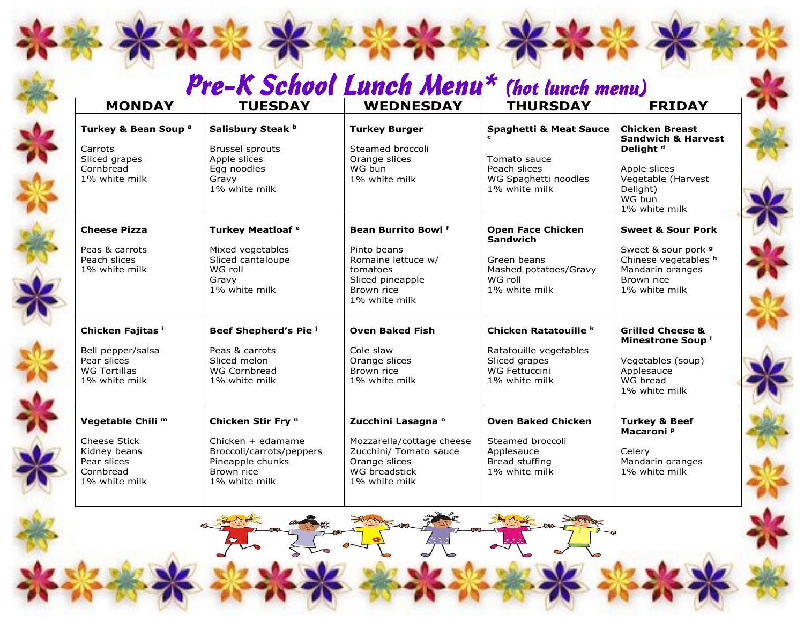## $Pre-K School$  Lunch Menu<sup>\*</sup> (hot lunch menu)

| <b>MONDAY</b>                                                                                                    | <b>TUESDAY</b>                                                                                                         | <b>WEDNESDAY</b>                                                                                                              | <b>THURSDAY</b>                                                                                                 | <b>FRIDAY</b>                                                                                                                                               |
|------------------------------------------------------------------------------------------------------------------|------------------------------------------------------------------------------------------------------------------------|-------------------------------------------------------------------------------------------------------------------------------|-----------------------------------------------------------------------------------------------------------------|-------------------------------------------------------------------------------------------------------------------------------------------------------------|
| Turkey & Bean Soup <sup>a</sup><br>Carrots<br>Sliced grapes<br>Cornbread<br>1% white milk                        | Salisbury Steak b<br><b>Brussel sprouts</b><br>Apple slices<br>Egg noodles<br>Gravy<br>1% white milk                   | <b>Turkey Burger</b><br>Steamed broccoli<br>Orange slices<br>WG bun<br>1% white milk                                          | <b>Spaghetti &amp; Meat Sauce</b><br>Tomato sauce<br>Peach slices<br>WG Spaghetti noodles<br>1% white milk      | <b>Chicken Breast</b><br><b>Sandwich &amp; Harvest</b><br>Delight <sup>d</sup><br>Apple slices<br>Vegetable (Harvest<br>Delight)<br>WG bun<br>1% white milk |
| <b>Cheese Pizza</b><br>Peas & carrots<br>Peach slices<br>1% white milk                                           | Turkey Meatloaf <sup>e</sup><br>Mixed vegetables<br>Sliced cantaloupe<br>WG roll<br>Gravy<br>1% white milk             | <b>Bean Burrito Bowlf</b><br>Pinto beans<br>Romaine lettuce w/<br>tomatoes<br>Sliced pineapple<br>Brown rice<br>1% white milk | <b>Open Face Chicken</b><br><b>Sandwich</b><br>Green beans<br>Mashed potatoes/Gravy<br>WG roll<br>1% white milk | <b>Sweet &amp; Sour Pork</b><br>Sweet & sour pork 9<br>Chinese vegetables h<br>Mandarin oranges<br>Brown rice<br>1% white milk                              |
| Chicken Fajitas i<br>Bell pepper/salsa<br>Pear slices<br><b>WG Tortillas</b><br>1% white milk                    | Beef Shepherd's Pie j<br>Peas & carrots<br>Sliced melon<br>WG Cornbread<br>1% white milk                               | <b>Oven Baked Fish</b><br>Cole slaw<br>Orange slices<br>Brown rice<br>1% white milk                                           | Chicken Ratatouille <sup>k</sup><br>Ratatouille vegetables<br>Sliced grapes<br>WG Fettuccini<br>1% white milk   | <b>Grilled Cheese &amp;</b><br>Minestrone Soup '<br>Vegetables (soup)<br>Applesauce<br>WG bread<br>1% white milk                                            |
| Vegetable Chili <sup>m</sup><br><b>Cheese Stick</b><br>Kidney beans<br>Pear slices<br>Cornbread<br>1% white milk | Chicken Stir Fry n<br>Chicken + edamame<br>Broccoli/carrots/peppers<br>Pineapple chunks<br>Brown rice<br>1% white milk | Zucchini Lasagna °<br>Mozzarella/cottage cheese<br>Zucchini/ Tomato sauce<br>Orange slices<br>WG breadstick<br>1% white milk  | <b>Oven Baked Chicken</b><br>Steamed broccoli<br>Applesauce<br>Bread stuffing<br>1% white milk                  | <b>Turkey &amp; Beef</b><br>Macaroni <sup>p</sup><br>Celery<br>Mandarin oranges<br>1% white milk                                                            |

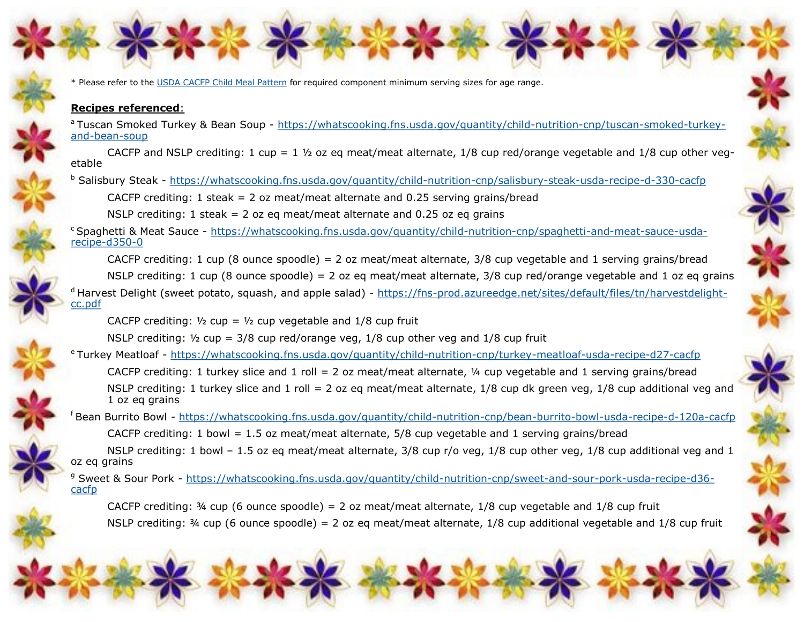\* Please refer to the [USDA CACFP Child Meal Pattern](https://www.fns.usda.gov/cacfp/meals-and-snacks) for required component minimum serving sizes for age range.

## **Recipes referenced**:

<sup>a</sup>Tuscan Smoked Turkey & Bean Soup - https://whatscooking.fns.usda.gov/guantity/child-nutrition-cnp/tuscan-smoked-turkeyand-[bean](https://whatscooking.fns.usda.gov/quantity/child-nutrition-cnp/tuscan-smoked-turkey-and-bean-soup)-soup

CACFP and NSLP crediting: 1 cup = 1  $\frac{1}{2}$  oz eq meat/meat alternate, 1/8 cup red/orange vegetable and 1/8 cup other vegetable

b Salisbury Steak - [https://whatscooking.fns.usda.gov/quantity/child](https://whatscooking.fns.usda.gov/quantity/child-nutrition-cnp/salisbury-steak-usda-recipe-d-330-cacfp)-nutrition-cnp/salisbury-steak-usda-recipe-d-330-cacfp

CACFP crediting: 1 steak = 2 oz meat/meat alternate and 0.25 serving grains/bread

NSLP crediting: 1 steak = 2 oz eq meat/meat alternate and 0.25 oz eq grains

<sup>c</sup>Spaghetti & Meat Sauce - [https://whatscooking.fns.usda.gov/quantity/child](https://whatscooking.fns.usda.gov/quantity/child-nutrition-cnp/spaghetti-and-meat-sauce-usda-recipe-d350-0)-nutrition-cnp/spaghetti-and-meat-sauce-usda[recipe](https://whatscooking.fns.usda.gov/quantity/child-nutrition-cnp/spaghetti-and-meat-sauce-usda-recipe-d350-0)-d350-0

CACFP crediting: 1 cup (8 ounce spoodle) = 2 oz meat/meat alternate,  $3/8$  cup vegetable and 1 serving grains/bread

NSLP crediting: 1 cup (8 ounce spoodle) = 2 oz eq meat/meat alternate,  $3/8$  cup red/orange vegetable and 1 oz eq grains

<sup>d</sup> Harvest Delight (sweet potato, squash, and apple salad) - https://fns-[prod.azureedge.net/sites/default/files/tn/harvestdelight](https://fns-prod.azureedge.net/sites/default/files/tn/harvestdelight-cc.pdf)[cc.pdf](https://fns-prod.azureedge.net/sites/default/files/tn/harvestdelight-cc.pdf)

CACFP crediting:  $\frac{1}{2}$  cup =  $\frac{1}{2}$  cup vegetable and 1/8 cup fruit

NSLP crediting:  $\frac{1}{2}$  cup = 3/8 cup red/orange veg, 1/8 cup other veg and 1/8 cup fruit

<sup>e</sup>Turkey Meatloaf - [https://whatscooking.fns.usda.gov/quantity/child](https://whatscooking.fns.usda.gov/quantity/child-nutrition-cnp/turkey-meatloaf-usda-recipe-d27-cacfp)-nutrition-cnp/turkey-meatloaf-usda-recipe-d27-cacfp

CACFP crediting: 1 turkey slice and 1 roll = 2 oz meat/meat alternate,  $\frac{1}{4}$  cup vegetable and 1 serving grains/bread NSLP crediting: 1 turkey slice and 1 roll = 2 oz eg meat/meat alternate,  $1/8$  cup dk green veg,  $1/8$  cup additional veg and 1 oz eq grains

<sup>f</sup>Bean Burrito Bowl - [https://whatscooking.fns.usda.gov/quantity/child](https://whatscooking.fns.usda.gov/quantity/child-nutrition-cnp/bean-burrito-bowl-usda-recipe-d-120a-cacfp)-nutrition-cnp/bean-burrito-bowl-usda-recipe-d-120a-cacfp

CACFP crediting: 1 bowl = 1.5 oz meat/meat alternate,  $5/8$  cup vegetable and 1 serving grains/bread

NSLP crediting: 1 bowl – 1.5 oz eq meat/meat alternate, 3/8 cup r/o veg, 1/8 cup other veg, 1/8 cup additional veg and 1 oz eq grains

<sup>g</sup> Sweet & Sour Pork - https://whatscooking.fns.usda.gov/guantity/child-nutrition-cnp/sweet-and-sour-pork-usda-recipe-d36[cacfp](https://whatscooking.fns.usda.gov/quantity/child-nutrition-cnp/sweet-and-sour-pork-usda-recipe-d36-cacfp)

CACFP crediting:  $\frac{3}{4}$  cup (6 ounce spoodle) = 2 oz meat/meat alternate, 1/8 cup vegetable and 1/8 cup fruit NSLP crediting:  $\frac{3}{4}$  cup (6 ounce spoodle) = 2 oz eq meat/meat alternate, 1/8 cup additional vegetable and 1/8 cup fruit